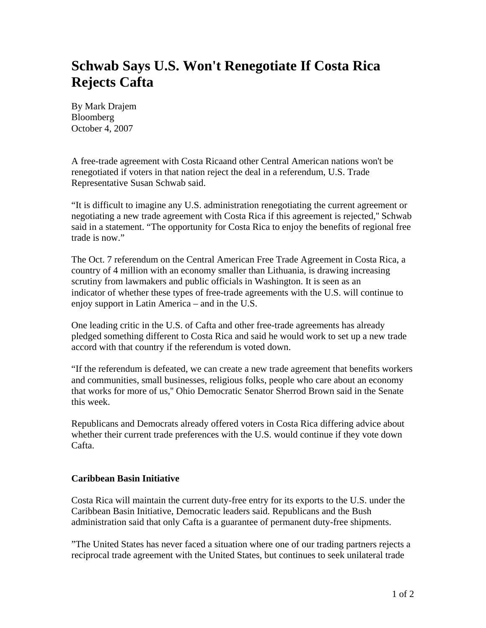## **Schwab Says U.S. Won't Renegotiate If Costa Rica Rejects Cafta**

By Mark Drajem Bloomberg October 4, 2007

A free-trade agreement with Costa Ricaand other Central American nations won't be renegotiated if voters in that nation reject the deal in a referendum, U.S. Trade Representative Susan Schwab said.

"It is difficult to imagine any U.S. administration renegotiating the current agreement or negotiating a new trade agreement with Costa Rica if this agreement is rejected,'' Schwab said in a statement. "The opportunity for Costa Rica to enjoy the benefits of regional free trade is now."

The Oct. 7 referendum on the Central American Free Trade Agreement in Costa Rica, a country of 4 million with an economy smaller than Lithuania, is drawing increasing scrutiny from lawmakers and public officials in Washington. It is seen as an indicator of whether these types of free-trade agreements with the U.S. will continue to enjoy support in Latin America – and in the U.S.

One leading critic in the U.S. of Cafta and other free-trade agreements has already pledged something different to Costa Rica and said he would work to set up a new trade accord with that country if the referendum is voted down.

"If the referendum is defeated, we can create a new trade agreement that benefits workers and communities, small businesses, religious folks, people who care about an economy that works for more of us,'' Ohio Democratic Senator Sherrod Brown said in the Senate this week.

Republicans and Democrats already offered voters in Costa Rica differing advice about whether their current trade preferences with the U.S. would continue if they vote down Cafta.

## **Caribbean Basin Initiative**

Costa Rica will maintain the current duty-free entry for its exports to the U.S. under the Caribbean Basin Initiative, Democratic leaders said. Republicans and the Bush administration said that only Cafta is a guarantee of permanent duty-free shipments.

"The United States has never faced a situation where one of our trading partners rejects a reciprocal trade agreement with the United States, but continues to seek unilateral trade